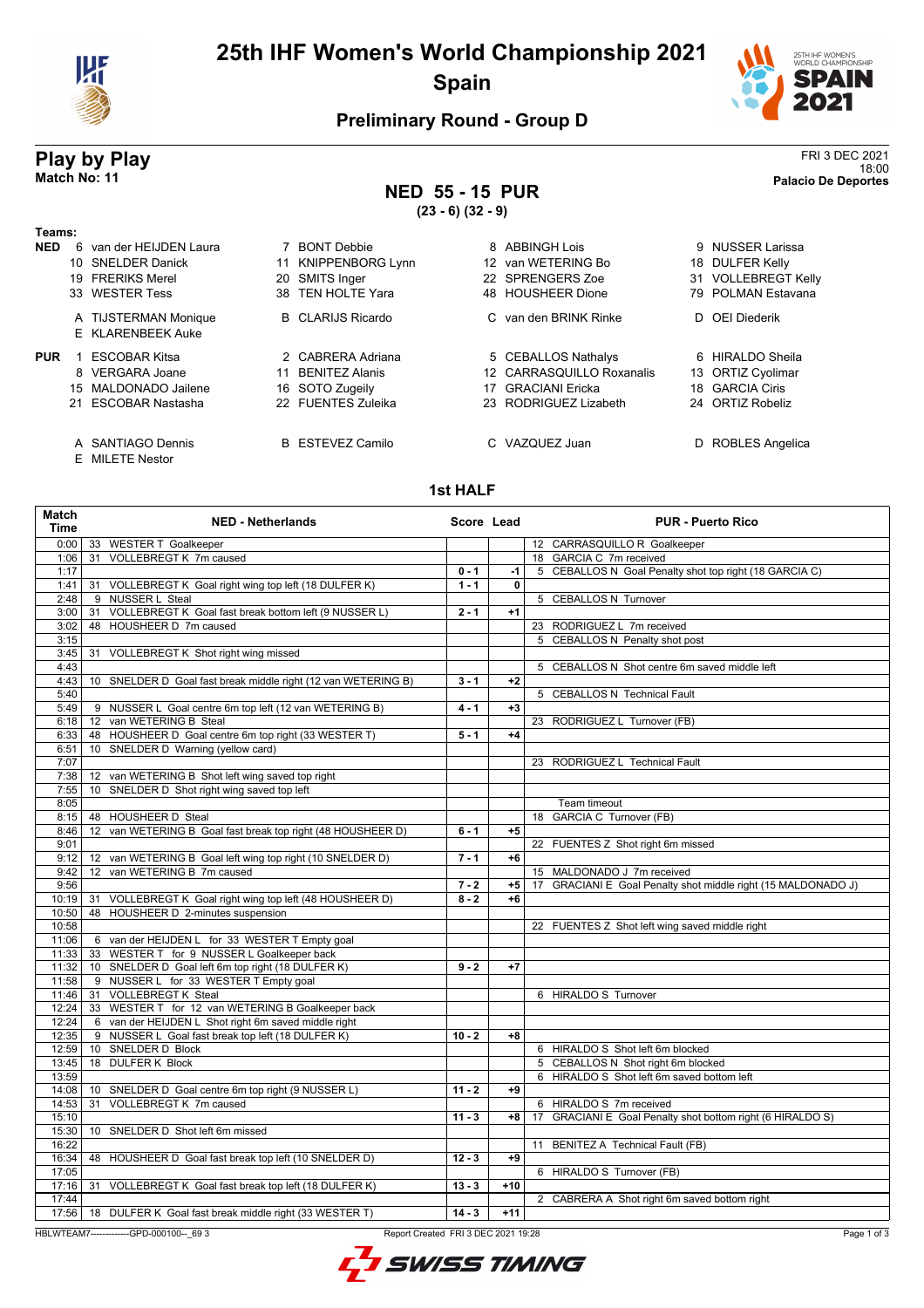

# **25th IHF Women's World Championship 2021 Spain**



### **Preliminary Round - Group D**

# **Play by Play** FRI 3 DEC 2021

18:00 **Match No: 11 Palacio De Deportes NED 55 - 15 PUR**

**(23 - 6) (32 - 9)**

| Teams:     |                                      |                             |                              |                     |
|------------|--------------------------------------|-----------------------------|------------------------------|---------------------|
| <b>NED</b> | van der HEIJDEN Laura<br>6.          | 7 BONT Debbie               | 8 ABBINGH Lois               | NUSSER Larissa<br>9 |
|            | 10 SNELDER Danick                    | 11 KNIPPENBORG Lynn         | van WETERING Bo<br>12.       | 18 DULFER Kelly     |
|            | 19 FRERIKS Merel                     | SMITS Inger<br>20           | 22 SPRENGERS Zoe             | 31 VOLLEBREGT Kelly |
|            | 33 WESTER Tess                       | 38 TEN HOLTE Yara           | 48 HOUSHEER Dione            | 79 POLMAN Estavana  |
|            | A TIJSTERMAN Monique                 | <b>B</b> CLARIJS Ricardo    | C van den BRINK Rinke        | D OEI Diederik      |
|            | E KLARENBEEK Auke                    |                             |                              |                     |
| <b>PUR</b> | ESCOBAR Kitsa                        | 2 CABRERA Adriana           | 5 CEBALLOS Nathalys          | 6 HIRALDO Sheila    |
|            | 8 VERGARA Joane                      | <b>BENITEZ Alanis</b><br>11 | 12 CARRASQUILLO Roxanalis    | 13 ORTIZ Cyolimar   |
|            | 15 MALDONADO Jailene                 | 16 SOTO Zugeily             | <b>GRACIANI Ericka</b><br>17 | 18 GARCIA Ciris     |
|            | 21 ESCOBAR Nastasha                  | 22 FUENTES Zuleika          | 23 RODRIGUEZ Lizabeth        | 24 ORTIZ Robeliz    |
|            | A SANTIAGO Dennis<br>E MILETE Nestor | <b>B</b> ESTEVEZ Camilo     | C VAZQUEZ Juan               | D ROBLES Angelica   |

#### **1st HALF**

| <b>Match</b><br><b>Time</b> | <b>NED - Netherlands</b>                                      | Score Lead |       | <b>PUR - Puerto Rico</b>                                      |
|-----------------------------|---------------------------------------------------------------|------------|-------|---------------------------------------------------------------|
| 0:00                        | 33 WESTER T Goalkeeper                                        |            |       | 12 CARRASQUILLO R Goalkeeper                                  |
| 1:06                        | 31 VOLLEBREGT K 7m caused                                     |            |       | 18 GARCIA C 7m received                                       |
| 1:17                        |                                                               | $0 - 1$    | -1    | 5 CEBALLOS N Goal Penalty shot top right (18 GARCIA C)        |
| 1:41                        | 31 VOLLEBREGT K Goal right wing top left (18 DULFER K)        | $1 - 1$    | 0     |                                                               |
| 2:48                        | 9 NUSSER L Steal                                              |            |       | 5 CEBALLOS N Turnover                                         |
| 3:00                        | 31 VOLLEBREGT K Goal fast break bottom left (9 NUSSER L)      | $2 - 1$    | $+1$  |                                                               |
| 3:02                        | 48 HOUSHEER D 7m caused                                       |            |       | 23 RODRIGUEZ L 7m received                                    |
| 3:15                        |                                                               |            |       | 5 CEBALLOS N Penalty shot post                                |
| 3:45                        | 31 VOLLEBREGT K Shot right wing missed                        |            |       |                                                               |
| 4:43                        |                                                               |            |       | 5 CEBALLOS N Shot centre 6m saved middle left                 |
| 4:43                        | 10 SNELDER D Goal fast break middle right (12 van WETERING B) | $3 - 1$    | $+2$  |                                                               |
| 5:40                        |                                                               |            |       | 5 CEBALLOS N Technical Fault                                  |
| 5:49                        | 9 NUSSER L Goal centre 6m top left (12 van WETERING B)        | $4 - 1$    | $+3$  |                                                               |
| 6:18                        | 12 van WETERING B Steal                                       |            |       | 23 RODRIGUEZ L Turnover (FB)                                  |
| 6:33                        | 48 HOUSHEER D Goal centre 6m top right (33 WESTER T)          | $5 - 1$    | $+4$  |                                                               |
| 6:51                        | 10 SNELDER D Warning (yellow card)                            |            |       |                                                               |
| 7:07                        |                                                               |            |       | 23 RODRIGUEZ L Technical Fault                                |
| 7:38                        | 12 van WETERING B Shot left wing saved top right              |            |       |                                                               |
| 7:55                        | 10 SNELDER D Shot right wing saved top left                   |            |       |                                                               |
| 8:05                        |                                                               |            |       | Team timeout                                                  |
| 8:15                        | 48 HOUSHEER D Steal                                           |            |       | 18 GARCIA C Turnover (FB)                                     |
| 8:46                        | 12 van WETERING B Goal fast break top right (48 HOUSHEER D)   | $6 - 1$    | $+5$  |                                                               |
| 9:01                        |                                                               |            |       | 22 FUENTES Z Shot right 6m missed                             |
| 9:12                        | 12 van WETERING B Goal left wing top right (10 SNELDER D)     | $7 - 1$    | $+6$  |                                                               |
| 9:42                        | 12 van WETERING B 7m caused                                   |            |       | 15 MALDONADO J 7m received                                    |
| 9:56                        |                                                               | $7 - 2$    | $+5$  | 17 GRACIANI E Goal Penalty shot middle right (15 MALDONADO J) |
| 10:19                       | 31 VOLLEBREGT K Goal right wing top left (48 HOUSHEER D)      | $8 - 2$    | $+6$  |                                                               |
| 10:50                       | 48 HOUSHEER D 2-minutes suspension                            |            |       |                                                               |
| 10:58                       |                                                               |            |       | 22 FUENTES Z Shot left wing saved middle right                |
| 11:06                       | 6 van der HEIJDEN L for 33 WESTER T Empty goal                |            |       |                                                               |
| 11:33                       | 33 WESTER T for 9 NUSSER L Goalkeeper back                    |            |       |                                                               |
| 11:32                       | 10 SNELDER D Goal left 6m top right (18 DULFER K)             | $9 - 2$    | $+7$  |                                                               |
| 11:58                       | 9 NUSSER L for 33 WESTER T Empty goal                         |            |       |                                                               |
| 11:46                       | 31 VOLLEBREGT K Steal                                         |            |       | 6 HIRALDO S Turnover                                          |
| 12:24                       | 33 WESTER T for 12 van WETERING B Goalkeeper back             |            |       |                                                               |
| 12:24                       | 6 van der HEIJDEN L Shot right 6m saved middle right          |            |       |                                                               |
| 12:35                       | 9 NUSSER L Goal fast break top left (18 DULFER K)             | $10 - 2$   | $+8$  |                                                               |
| 12:59                       | 10 SNELDER D Block                                            |            |       | 6 HIRALDO S Shot left 6m blocked                              |
| 13:45                       | 18 DULFER K Block                                             |            |       | 5 CEBALLOS N Shot right 6m blocked                            |
| 13:59                       |                                                               |            |       | 6 HIRALDO S Shot left 6m saved bottom left                    |
| 14:08                       | 10 SNELDER D Goal centre 6m top right (9 NUSSER L)            | $11 - 2$   | $+9$  |                                                               |
| 14:53                       | 31 VOLLEBREGT K 7m caused                                     |            |       | 6 HIRALDO S 7m received                                       |
| 15:10                       |                                                               | $11 - 3$   | $+8$  | GRACIANI E Goal Penalty shot bottom right (6 HIRALDO S)<br>17 |
| 15:30                       | 10 SNELDER D Shot left 6m missed                              |            |       |                                                               |
| 16:22                       |                                                               |            |       | 11 BENITEZ A Technical Fault (FB)                             |
| 16:34                       | 48 HOUSHEER D Goal fast break top left (10 SNELDER D)         | $12 - 3$   | $+9$  |                                                               |
| 17:05                       |                                                               |            |       | 6 HIRALDO S Turnover (FB)                                     |
| 17:16                       | 31 VOLLEBREGT K Goal fast break top left (18 DULFER K)        | $13 - 3$   | $+10$ |                                                               |
| 17:44                       |                                                               |            |       | 2 CABRERA A Shot right 6m saved bottom right                  |
| 17:56                       | 18 DULFER K Goal fast break middle right (33 WESTER T)        | $14 - 3$   | $+11$ |                                                               |
|                             |                                                               |            |       |                                                               |

HBLWTEAM7-------------GPD-000100--\_69 3 Report Created FRI 3 DEC 2021 19:28

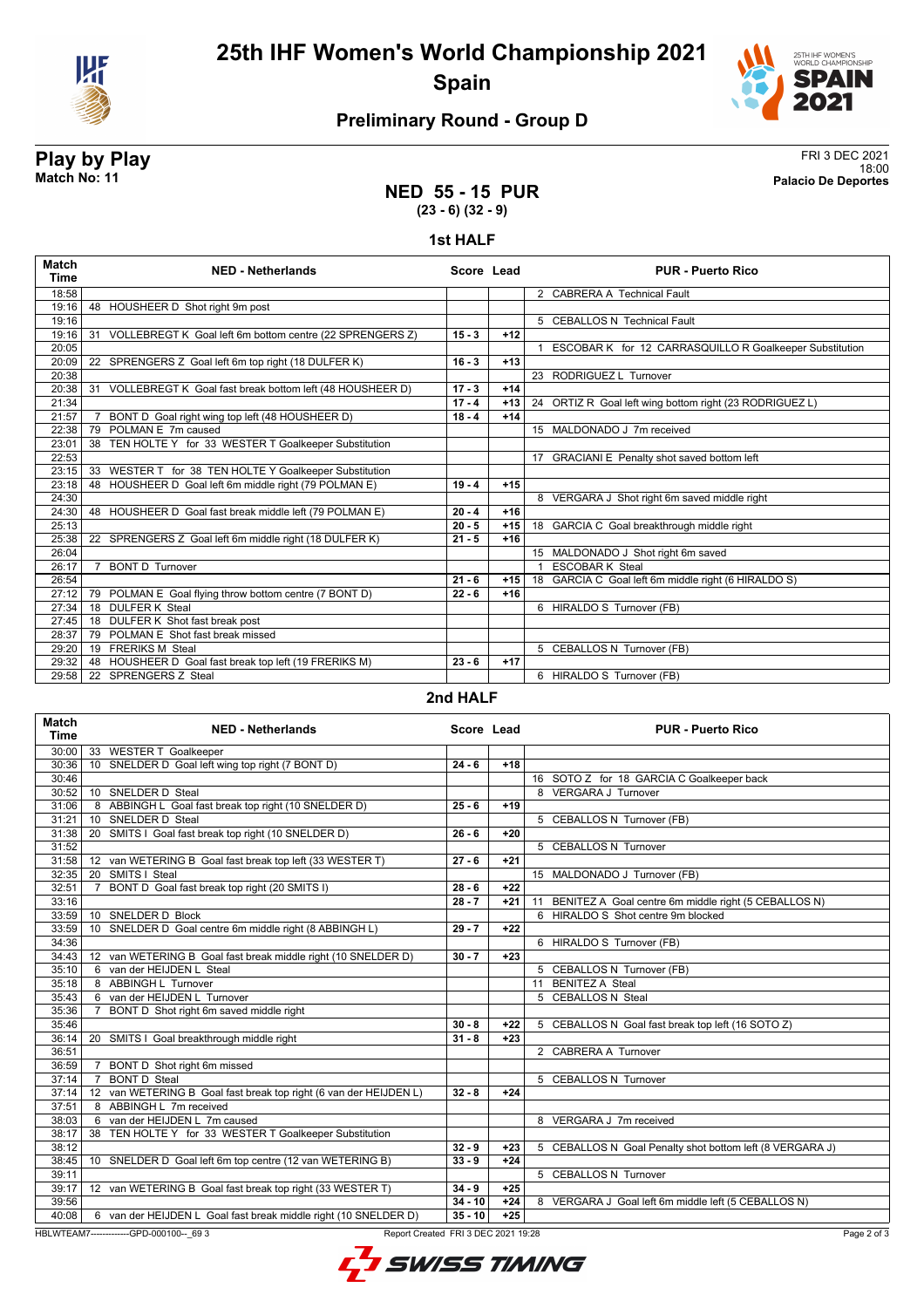

**25th IHF Women's World Championship 2021 Spain**



### **Preliminary Round - Group D**

### **Play by Play** FRI 3 DEC 2021 18:00 **Match No: 11 Palacio De Deportes**

#### **NED 55 - 15 PUR (23 - 6) (32 - 9)**

#### **1st HALF**

| <b>Match</b><br><b>Time</b> | <b>NED - Netherlands</b>                                          | Score Lead |       | <b>PUR - Puerto Rico</b>                                |
|-----------------------------|-------------------------------------------------------------------|------------|-------|---------------------------------------------------------|
| 18:58                       |                                                                   |            |       | 2 CABRERA A Technical Fault                             |
| 19:16                       | 48 HOUSHEER D Shot right 9m post                                  |            |       |                                                         |
| 19:16                       |                                                                   |            |       | 5 CEBALLOS N Technical Fault                            |
| 19:16                       | 31 VOLLEBREGT K Goal left 6m bottom centre (22 SPRENGERS Z)       | $15 - 3$   | $+12$ |                                                         |
| 20:05                       |                                                                   |            |       | ESCOBAR K for 12 CARRASQUILLO R Goalkeeper Substitution |
| 20:09                       | 22 SPRENGERS Z Goal left 6m top right (18 DULFER K)               | $16 - 3$   | $+13$ |                                                         |
| 20:38                       |                                                                   |            |       | 23 RODRIGUEZ L Turnover                                 |
| 20:38                       | VOLLEBREGT K Goal fast break bottom left (48 HOUSHEER D)<br>31    | $17 - 3$   | $+14$ |                                                         |
| 21:34                       |                                                                   | $17 - 4$   | $+13$ | 24 ORTIZ R Goal left wing bottom right (23 RODRIGUEZ L) |
| 21:57                       | BONT D Goal right wing top left (48 HOUSHEER D)<br>$\overline{7}$ | $18 - 4$   | $+14$ |                                                         |
| 22:38                       | POLMAN E 7m caused<br>79                                          |            |       | 15 MALDONADO J 7m received                              |
| 23:01                       | 38 TEN HOLTE Y for 33 WESTER T Goalkeeper Substitution            |            |       |                                                         |
| 22:53                       |                                                                   |            |       | 17 GRACIANI E Penalty shot saved bottom left            |
| 23:15                       | WESTER T for 38 TEN HOLTE Y Goalkeeper Substitution<br>33         |            |       |                                                         |
| 23:18                       | 48 HOUSHEER D Goal left 6m middle right (79 POLMAN E)             | $19 - 4$   | $+15$ |                                                         |
| 24:30                       |                                                                   |            |       | 8 VERGARA J Shot right 6m saved middle right            |
| 24:30                       | 48 HOUSHEER D Goal fast break middle left (79 POLMAN E)           | $20 - 4$   | $+16$ |                                                         |
| 25:13                       |                                                                   | $20 - 5$   | $+15$ | 18 GARCIA C Goal breakthrough middle right              |
| 25:38                       | 22 SPRENGERS Z Goal left 6m middle right (18 DULFER K)            | $21 - 5$   | $+16$ |                                                         |
| 26:04                       |                                                                   |            |       | 15 MALDONADO J Shot right 6m saved                      |
| 26:17                       | <b>BONT D</b> Turnover<br>$\overline{7}$                          |            |       | <b>ESCOBAR K Steal</b>                                  |
| 26:54                       |                                                                   | $21 - 6$   | $+15$ | 18 GARCIA C Goal left 6m middle right (6 HIRALDO S)     |
| 27:12                       | 79 POLMAN E Goal flying throw bottom centre (7 BONT D)            | $22 - 6$   | $+16$ |                                                         |
| 27:34                       | 18 DULFER K Steal                                                 |            |       | 6 HIRALDO S Turnover (FB)                               |
| 27:45                       | 18 DULFER K Shot fast break post                                  |            |       |                                                         |
| 28:37                       | POLMAN E Shot fast break missed<br>79                             |            |       |                                                         |
| 29:20                       | 19 FRERIKS M Steal                                                |            |       | 5 CEBALLOS N Turnover (FB)                              |
| 29:32                       | 48 HOUSHEER D Goal fast break top left (19 FRERIKS M)             | $23 - 6$   | $+17$ |                                                         |
| 29:58                       | 22 SPRENGERS Z Steal                                              |            |       | 6 HIRALDO S Turnover (FB)                               |

#### **2nd HALF**

| Match<br><b>Time</b>                                                                         | <b>NED - Netherlands</b>                                          | Score Lead |       | <b>PUR - Puerto Rico</b>                                 |
|----------------------------------------------------------------------------------------------|-------------------------------------------------------------------|------------|-------|----------------------------------------------------------|
| 30:00                                                                                        | 33 WESTER T Goalkeeper                                            |            |       |                                                          |
| 30:36                                                                                        | 10 SNELDER D Goal left wing top right (7 BONT D)                  | $24 - 6$   | $+18$ |                                                          |
| 30:46                                                                                        |                                                                   |            |       | 16 SOTO Z for 18 GARCIA C Goalkeeper back                |
| 30:52                                                                                        | 10 SNELDER D Steal                                                |            |       | 8 VERGARA J Turnover                                     |
| 31:06                                                                                        | 8 ABBINGH L Goal fast break top right (10 SNELDER D)              | $25 - 6$   | $+19$ |                                                          |
| 31:21                                                                                        | 10 SNELDER D Steal                                                |            |       | 5 CEBALLOS N Turnover (FB)                               |
| 31:38                                                                                        | 20 SMITS I Goal fast break top right (10 SNELDER D)               | $26 - 6$   | $+20$ |                                                          |
| 31:52                                                                                        |                                                                   |            |       | 5 CEBALLOS N Turnover                                    |
| 31:58                                                                                        | 12 van WETERING B Goal fast break top left (33 WESTER T)          | $27 - 6$   | $+21$ |                                                          |
| 32:35                                                                                        | SMITS   Steal<br>20                                               |            |       | 15 MALDONADO J Turnover (FB)                             |
| 32:51                                                                                        | BONT D Goal fast break top right (20 SMITS I)<br>7                | $28 - 6$   | $+22$ |                                                          |
| 33:16                                                                                        |                                                                   | $28 - 7$   | $+21$ | 11 BENITEZ A Goal centre 6m middle right (5 CEBALLOS N)  |
| 33:59                                                                                        | 10 SNELDER D Block                                                |            |       | 6 HIRALDO S Shot centre 9m blocked                       |
| 33:59                                                                                        | 10 SNELDER D Goal centre 6m middle right (8 ABBINGH L)            | $29 - 7$   | $+22$ |                                                          |
| 34:36                                                                                        |                                                                   |            |       | 6 HIRALDO S Turnover (FB)                                |
| 34:43                                                                                        | 12 van WETERING B Goal fast break middle right (10 SNELDER D)     | $30 - 7$   | $+23$ |                                                          |
| 35:10                                                                                        | 6 van der HEIJDEN L Steal                                         |            |       | 5 CEBALLOS N Turnover (FB)                               |
| 35:18                                                                                        | 8 ABBINGH L Turnover                                              |            |       | 11 BENITEZ A Steal                                       |
| 35:43                                                                                        | 6 van der HEIJDEN L Turnover                                      |            |       | 5 CEBALLOS N Steal                                       |
| 35:36                                                                                        | BONT D Shot right 6m saved middle right<br>7                      |            |       |                                                          |
| 35:46                                                                                        |                                                                   | $30 - 8$   | $+22$ | 5 CEBALLOS N Goal fast break top left (16 SOTO Z)        |
| 36:14                                                                                        | 20 SMITS I Goal breakthrough middle right                         | $31 - 8$   | $+23$ |                                                          |
| 36:51                                                                                        |                                                                   |            |       | 2 CABRERA A Turnover                                     |
| 36:59                                                                                        | BONT D Shot right 6m missed<br>$\overline{7}$                     |            |       |                                                          |
| 37:14                                                                                        | <b>BONT D Steal</b><br>$\overline{7}$                             |            |       | 5 CEBALLOS N Turnover                                    |
| 37:14                                                                                        | 12 van WETERING B Goal fast break top right (6 van der HEIJDEN L) | $32 - 8$   | $+24$ |                                                          |
| 37:51                                                                                        | 8 ABBINGH L 7m received                                           |            |       |                                                          |
| 38:03                                                                                        | 6 van der HEIJDEN L 7m caused                                     |            |       | 8 VERGARA J 7m received                                  |
| 38:17                                                                                        | 38 TEN HOLTE Y for 33 WESTER T Goalkeeper Substitution            |            |       |                                                          |
| 38:12                                                                                        |                                                                   | $32 - 9$   | $+23$ | 5 CEBALLOS N Goal Penalty shot bottom left (8 VERGARA J) |
| 38:45                                                                                        | 10 SNELDER D Goal left 6m top centre (12 van WETERING B)          | $33 - 9$   | $+24$ |                                                          |
| 39:11                                                                                        |                                                                   |            |       | 5 CEBALLOS N Turnover                                    |
| 39:17                                                                                        | 12 van WETERING B Goal fast break top right (33 WESTER T)         | $34 - 9$   | $+25$ |                                                          |
| 39:56                                                                                        |                                                                   | $34 - 10$  | $+24$ | 8 VERGARA J Goal left 6m middle left (5 CEBALLOS N)      |
| 40:08                                                                                        | 6 van der HEIJDEN L Goal fast break middle right (10 SNELDER D)   | $35 - 10$  | $+25$ |                                                          |
| HBLWTEAM7--------------GPD-000100-- 69 3<br>Report Created FRI 3 DEC 2021 19:28<br>Page 2 of |                                                                   |            |       |                                                          |